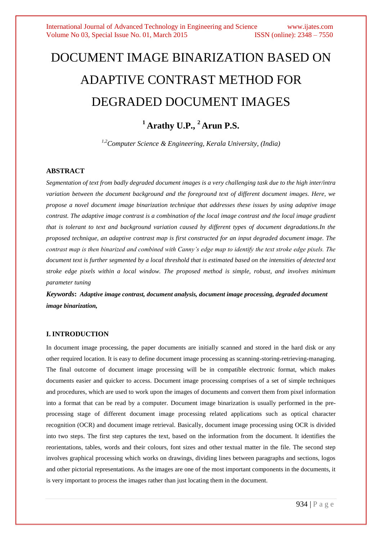# DOCUMENT IMAGE BINARIZATION BASED ON ADAPTIVE CONTRAST METHOD FOR DEGRADED DOCUMENT IMAGES

# **<sup>1</sup> Arathy U.P., <sup>2</sup> Arun P.S.**

*1,2Computer Science & Engineering, Kerala University, (India)*

#### **ABSTRACT**

*Segmentation of text from badly degraded document images is a very challenging task due to the high inter/intra variation between the document background and the foreground text of different document images. Here, we propose a novel document image binarization technique that addresses these issues by using adaptive image contrast. The adaptive image contrast is a combination of the local image contrast and the local image gradient that is tolerant to text and background variation caused by different types of document degradations.In the proposed technique, an adaptive contrast map is first constructed for an input degraded document image. The contrast map is then binarized and combined with Canny's edge map to identify the text stroke edge pixels. The document text is further segmented by a local threshold that is estimated based on the intensities of detected text stroke edge pixels within a local window. The proposed method is simple, robust, and involves minimum parameter tuning*

*Keywords***:** *Adaptive image contrast, document analysis, document image processing, degraded document image binarization,*

# **I. INTRODUCTION**

In document image processing, the paper documents are initially scanned and stored in the hard disk or any other required location. It is easy to define document image processing as scanning-storing-retrieving-managing. The final outcome of document image processing will be in compatible electronic format, which makes documents easier and quicker to access. Document image processing comprises of a set of simple techniques and procedures, which are used to work upon the images of documents and convert them from pixel information into a format that can be read by a computer. Document image binarization is usually performed in the preprocessing stage of different document image processing related applications such as optical character recognition (OCR) and document image retrieval. Basically, document image processing using OCR is divided into two steps. The first step captures the text, based on the information from the document. It identifies the reorientations, tables, words and their colours, font sizes and other textual matter in the file. The second step involves graphical processing which works on drawings, dividing lines between paragraphs and sections, logos and other pictorial representations. As the images are one of the most important components in the documents, it is very important to process the images rather than just locating them in the document.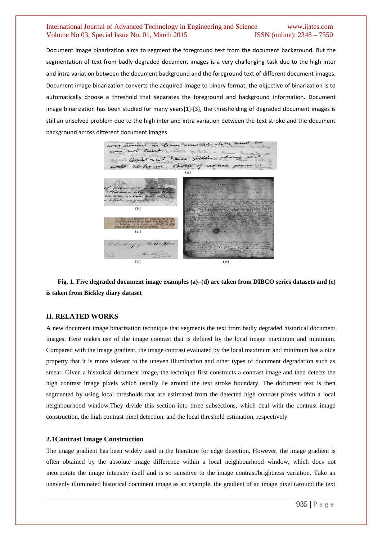Document image binarization aims to segment the foreground text from the document background. But the segmentation of text from badly degraded document images is a very challenging task due to the high inter and intra variation between the document background and the foreground text of different document images. Document image binarization converts the acquired image to binary format, the objective of binarization is to automatically choose a threshold that separates the foreground and background information. Document image binarization has been studied for many years[1]-[3], the thresholding of degraded document images is still an unsolved problem due to the high inter and intra variation between the text stroke and the document background across different document images



**Fig. 1. Five degraded document image examples (a)–(d) are taken from DIBCO series datasets and (e) is taken from Bickley diary dataset**

# **II. RELATED WORKS**

A new document image binarization technique that segments the text from badly degraded historical document images. Here makes use of the image contrast that is defined by the local image maximum and minimum. Compared with the image gradient, the image contrast evaluated by the local maximum and minimum has a nice property that it is more tolerant to the uneven illumination and other types of document degradation such as smear. Given a historical document image, the technique first constructs a contrast image and then detects the high contrast image pixels which usually lie around the text stroke boundary. The document text is then segmented by using local thresholds that are estimated from the detected high contrast pixels within a local neighbourhood window.They divide this section into three subsections, which deal with the contrast image construction, the high contrast pixel detection, and the local threshold estimation, respectively

#### **2.1Contrast Image Construction**

The image gradient has been widely used in the literature for edge detection. However, the image gradient is often obtained by the absolute image difference within a local neighbourhood window, which does not incorporate the image intensity itself and is so sensitive to the image contrast/brightness variation. Take an unevenly illuminated historical document image as an example, the gradient of an image pixel (around the text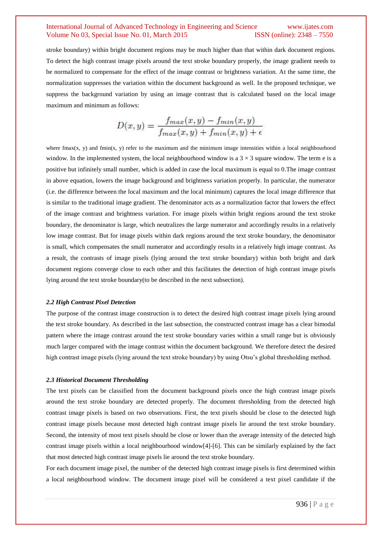stroke boundary) within bright document regions may be much higher than that within dark document regions. To detect the high contrast image pixels around the text stroke boundary properly, the image gradient needs to be normalized to compensate for the effect of the image contrast or brightness variation. At the same time, the normalization suppresses the variation within the document background as well. In the proposed technique, we suppress the background variation by using an image contrast that is calculated based on the local image maximum and minimum as follows:

$$
D(x,y) = \frac{f_{max}(x,y) - f_{min}(x,y)}{f_{max}(x,y) + f_{min}(x,y) + \epsilon}
$$

where fmax(x, y) and fmin(x, y) refer to the maximum and the minimum image intensities within a local neighbourhood window. In the implemented system, the local neighbourhood window is a  $3 \times 3$  square window. The term e is a positive but infinitely small number, which is added in case the local maximum is equal to 0.The image contrast in above equation, lowers the image background and brightness variation properly. In particular, the numerator (i.e. the difference between the local maximum and the local minimum) captures the local image difference that is similar to the traditional image gradient. The denominator acts as a normalization factor that lowers the effect of the image contrast and brightness variation. For image pixels within bright regions around the text stroke boundary, the denominator is large, which neutralizes the large numerator and accordingly results in a relatively low image contrast. But for image pixels within dark regions around the text stroke boundary, the denominator is small, which compensates the small numerator and accordingly results in a relatively high image contrast. As a result, the contrasts of image pixels (lying around the text stroke boundary) within both bright and dark document regions converge close to each other and this facilitates the detection of high contrast image pixels lying around the text stroke boundary(to be described in the next subsection).

#### *2.2 High Contrast Pixel Detection*

The purpose of the contrast image construction is to detect the desired high contrast image pixels lying around the text stroke boundary. As described in the last subsection, the constructed contrast image has a clear bimodal pattern where the image contrast around the text stroke boundary varies within a small range but is obviously much larger compared with the image contrast within the document background. We therefore detect the desired high contrast image pixels (lying around the text stroke boundary) by using Otsu's global thresholding method.

#### *2.3 Historical Document Thresholding*

The text pixels can be classified from the document background pixels once the high contrast image pixels around the text stroke boundary are detected properly. The document thresholding from the detected high contrast image pixels is based on two observations. First, the text pixels should be close to the detected high contrast image pixels because most detected high contrast image pixels lie around the text stroke boundary. Second, the intensity of most text pixels should be close or lower than the average intensity of the detected high contrast image pixels within a local neighbourhood window[4]-[6]. This can be similarly explained by the fact that most detected high contrast image pixels lie around the text stroke boundary.

For each document image pixel, the number of the detected high contrast image pixels is first determined within a local neighbourhood window. The document image pixel will be considered a text pixel candidate if the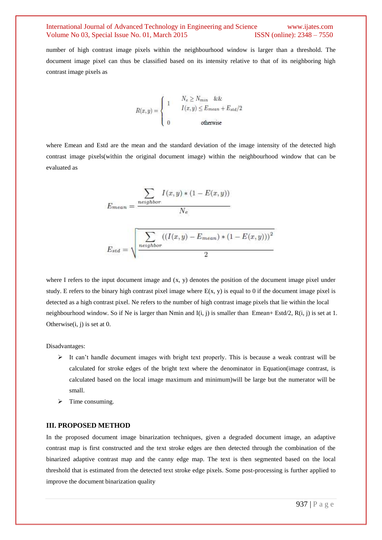number of high contrast image pixels within the neighbourhood window is larger than a threshold. The document image pixel can thus be classified based on its intensity relative to that of its neighboring high contrast image pixels as

$$
R(x,y) = \left\{ \begin{array}{cc} 1 & \begin{array}{c} N_e \geq N_{min} & \&\&\\ & I(x,y) \leq E_{mean} + E_{std}/2 \\ 0 & \text{otherwise} \end{array} \end{array} \right.
$$

where Emean and Estd are the mean and the standard deviation of the image intensity of the detected high contrast image pixels(within the original document image) within the neighbourhood window that can be evaluated as

$$
E_{mean} = \frac{\sum_{neighbor} I(x, y) * (1 - E(x, y))}{N_e}
$$
\n
$$
\sqrt{\sum_{i} (I(x, y) - E_{max}) * (1 - E(x, y)))^2}
$$

$$
E_{std} = \sqrt{\frac{\sum_{neighbor} ((I(x, y) - E_{mean}) * (1 - E(x, y)))^2}{2}}
$$

where I refers to the input document image and  $(x, y)$  denotes the position of the document image pixel under study. E refers to the binary high contrast pixel image where  $E(x, y)$  is equal to 0 if the document image pixel is detected as a high contrast pixel. Ne refers to the number of high contrast image pixels that lie within the local neighbourhood window. So if Ne is larger than Nmin and  $I(i, j)$  is smaller than Emean+ Estd/2, R(i, j) is set at 1. Otherwise $(i, j)$  is set at 0.

Disadvantages:

- $\triangleright$  It can't handle document images with bright text properly. This is because a weak contrast will be calculated for stroke edges of the bright text where the denominator in Equation(image contrast, is calculated based on the local image maximum and minimum)will be large but the numerator will be small.
- $\triangleright$  Time consuming.

# **III. PROPOSED METHOD**

In the proposed document image binarization techniques, given a degraded document image, an adaptive contrast map is first constructed and the text stroke edges are then detected through the combination of the binarized adaptive contrast map and the canny edge map. The text is then segmented based on the local threshold that is estimated from the detected text stroke edge pixels. Some post-processing is further applied to improve the document binarization quality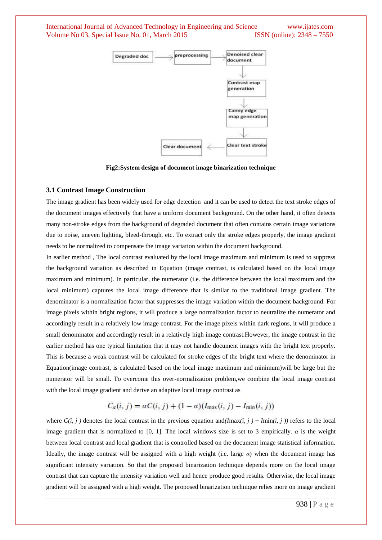

**Fig2:System design of document image binarization technique**

#### **3.1 Contrast Image Construction**

The image gradient has been widely used for edge detection and it can be used to detect the text stroke edges of the document images effectively that have a uniform document background. On the other hand, it often detects many non-stroke edges from the background of degraded document that often contains certain image variations due to noise, uneven lighting, bleed-through, etc. To extract only the stroke edges properly, the image gradient needs to be normalized to compensate the image variation within the document background.

In earlier method , The local contrast evaluated by the local image maximum and minimum is used to suppress the background variation as described in Equation (image contrast, is calculated based on the local image maximum and minimum). In particular, the numerator (i.e. the difference between the local maximum and the local minimum) captures the local image difference that is similar to the traditional image gradient. The denominator is a normalization factor that suppresses the image variation within the document background. For image pixels within bright regions, it will produce a large normalization factor to neutralize the numerator and accordingly result in a relatively low image contrast. For the image pixels within dark regions, it will produce a small denominator and accordingly result in a relatively high image contrast.However, the image contrast in the earlier method has one typical limitation that it may not handle document images with the bright text properly. This is because a weak contrast will be calculated for stroke edges of the bright text where the denominator in Equation(image contrast, is calculated based on the local image maximum and minimum)will be large but the numerator will be small. To overcome this over-normalization problem,we combine the local image contrast with the local image gradient and derive an adaptive local image contrast as

$$
C_a(i, j) = \alpha C(i, j) + (1 - \alpha)(I_{\max}(i, j) - I_{\min}(i, j))
$$

where *C(i, j )* denotes the local contrast in the previous equation and*(I*max*(i, j )* − *I*min*(i, j ))* refers to the local image gradient that is normalized to [0, 1]. The local windows size is set to 3 empirically.  $\alpha$  is the weight between local contrast and local gradient that is controlled based on the document image statistical information. Ideally, the image contrast will be assigned with a high weight (i.e. large *α*) when the document image has significant intensity variation. So that the proposed binarization technique depends more on the local image contrast that can capture the intensity variation well and hence produce good results. Otherwise, the local image gradient will be assigned with a high weight. The proposed binarization technique relies more on image gradient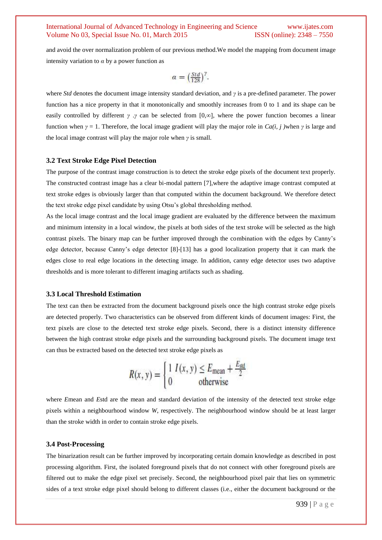and avoid the over normalization problem of our previous method.We model the mapping from document image intensity variation to  $\alpha$  by a power function as

$$
\alpha = \left(\frac{Std}{128}\right)^7.
$$

where *Std* denotes the document image intensity standard deviation, and *γ* is a pre-defined parameter. The power function has a nice property in that it monotonically and smoothly increases from 0 to 1 and its shape can be easily controlled by different *γ* .*γ* can be selected from [0*,*∞], where the power function becomes a linear function when *γ* = 1. Therefore, the local image gradient will play the major role in *Ca(i, j )*when *γ* is large and the local image contrast will play the major role when *γ* is small.

#### **3.2 Text Stroke Edge Pixel Detection**

The purpose of the contrast image construction is to detect the stroke edge pixels of the document text properly. The constructed contrast image has a clear bi-modal pattern [7],where the adaptive image contrast computed at text stroke edges is obviously larger than that computed within the document background. We therefore detect the text stroke edge pixel candidate by using Otsu's global thresholding method.

As the local image contrast and the local image gradient are evaluated by the difference between the maximum and minimum intensity in a local window, the pixels at both sides of the text stroke will be selected as the high contrast pixels. The binary map can be further improved through the combination with the edges by Canny's edge detector, because Canny's edge detector [8]-[13] has a good localization property that it can mark the edges close to real edge locations in the detecting image. In addition, canny edge detector uses two adaptive thresholds and is more tolerant to different imaging artifacts such as shading.

#### **3.3 Local Threshold Estimation**

The text can then be extracted from the document background pixels once the high contrast stroke edge pixels are detected properly. Two characteristics can be observed from different kinds of document images: First, the text pixels are close to the detected text stroke edge pixels. Second, there is a distinct intensity difference between the high contrast stroke edge pixels and the surrounding background pixels. The document image text can thus be extracted based on the detected text stroke edge pixels as

$$
R(x, y) = \begin{cases} 1 & I(x, y) \le E_{\text{mean}} + \frac{E_{\text{std}}}{2} \\ 0 & \text{otherwise} \end{cases}
$$

where *E*mean and *E*std are the mean and standard deviation of the intensity of the detected text stroke edge pixels within a neighbourhood window *W*, respectively. The neighbourhood window should be at least larger than the stroke width in order to contain stroke edge pixels.

#### **3.4 Post-Processing**

The binarization result can be further improved by incorporating certain domain knowledge as described in post processing algorithm. First, the isolated foreground pixels that do not connect with other foreground pixels are filtered out to make the edge pixel set precisely. Second, the neighbourhood pixel pair that lies on symmetric sides of a text stroke edge pixel should belong to different classes (i.e., either the document background or the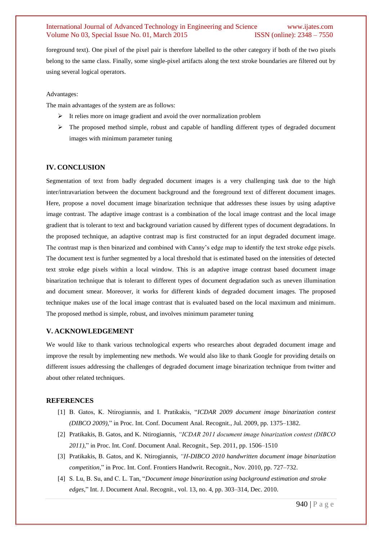foreground text). One pixel of the pixel pair is therefore labelled to the other category if both of the two pixels belong to the same class. Finally, some single-pixel artifacts along the text stroke boundaries are filtered out by using several logical operators.

Advantages:

The main advantages of the system are as follows:

- $\triangleright$  It relies more on image gradient and avoid the over normalization problem
- $\triangleright$  The proposed method simple, robust and capable of handling different types of degraded document images with minimum parameter tuning

#### **IV. CONCLUSION**

Segmentation of text from badly degraded document images is a very challenging task due to the high inter/intravariation between the document background and the foreground text of different document images. Here, propose a novel document image binarization technique that addresses these issues by using adaptive image contrast. The adaptive image contrast is a combination of the local image contrast and the local image gradient that is tolerant to text and background variation caused by different types of document degradations. In the proposed technique, an adaptive contrast map is first constructed for an input degraded document image. The contrast map is then binarized and combined with Canny's edge map to identify the text stroke edge pixels. The document text is further segmented by a local threshold that is estimated based on the intensities of detected text stroke edge pixels within a local window. This is an adaptive image contrast based document image binarization technique that is tolerant to different types of document degradation such as uneven illumination and document smear. Moreover, it works for different kinds of degraded document images. The proposed technique makes use of the local image contrast that is evaluated based on the local maximum and minimum. The proposed method is simple, robust, and involves minimum parameter tuning

#### **V. ACKNOWLEDGEMENT**

We would like to thank various technological experts who researches about degraded document image and improve the result by implementing new methods. We would also like to thank Google for providing details on different issues addressing the challenges of degraded document image binarization technique from twitter and about other related techniques.

#### **REFERENCES**

- [1] B. Gatos, K. Ntirogiannis, and I. Pratikakis, "*ICDAR 2009 document image binarization contest (DIBCO 2009),*" in Proc. Int. Conf. Document Anal. Recognit., Jul. 2009, pp. 1375–1382.
- [2] Pratikakis, B. Gatos, and K. Ntirogiannis, *"ICDAR 2011 document image binarization contest (DIBCO 2011)*," in Proc. Int. Conf. Document Anal. Recognit., Sep. 2011, pp. 1506–1510
- [3] Pratikakis, B. Gatos, and K. Ntirogiannis, *"H-DIBCO 2010 handwritten document image binarization competition*," in Proc. Int. Conf. Frontiers Handwrit. Recognit., Nov. 2010, pp. 727–732.
- [4] S. Lu, B. Su, and C. L. Tan, "*Document image binarization using background estimation and stroke edges,*" Int. J. Document Anal. Recognit., vol. 13, no. 4, pp. 303–314, Dec. 2010.